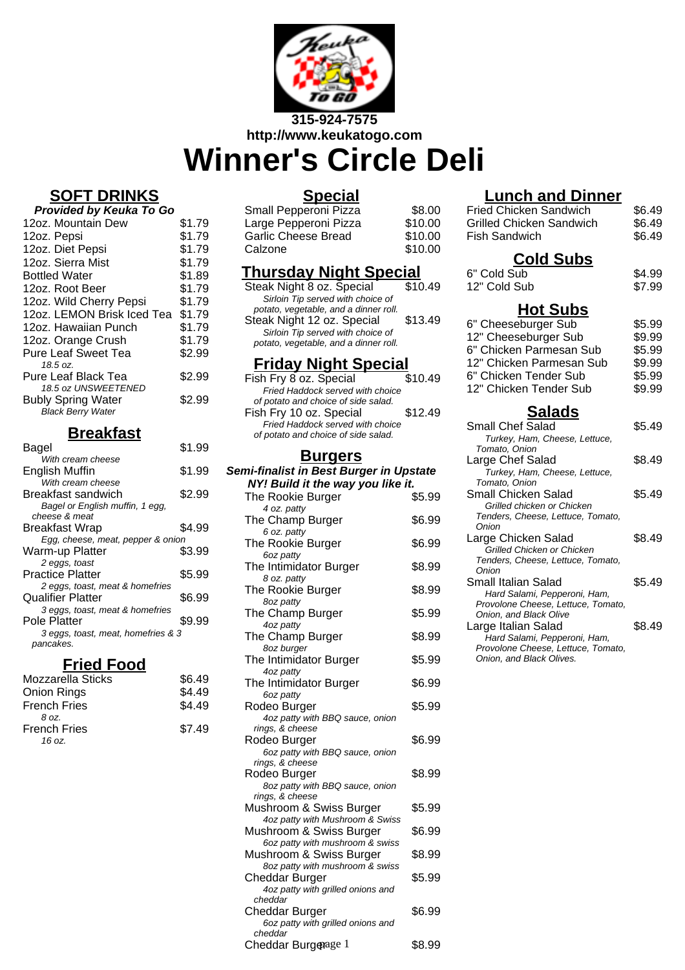

# **Winner's Circle Deli**

# **SOFT DRINKS**

| Provided by Keuka To Go    |        |  |
|----------------------------|--------|--|
| 12oz. Mountain Dew         | \$1.79 |  |
| 12oz. Pepsi                | \$1.79 |  |
| 12oz. Diet Pepsi           | \$1.79 |  |
| 12oz. Sierra Mist          | \$1.79 |  |
| <b>Bottled Water</b>       | \$1.89 |  |
| 12oz. Root Beer            | \$1.79 |  |
| 12oz. Wild Cherry Pepsi    | \$1.79 |  |
| 12oz. LEMON Brisk Iced Tea | \$1.79 |  |
| 12oz. Hawaiian Punch       | \$1.79 |  |
| 12oz. Orange Crush         | \$1.79 |  |
| <b>Pure Leaf Sweet Tea</b> | \$2.99 |  |
| 18.5 oz.                   |        |  |
| Pure Leaf Black Tea        | \$2.99 |  |
| 18.5 oz UNSWEETENED        |        |  |
| <b>Bubly Spring Water</b>  | \$2.99 |  |
| <b>Black Berry Water</b>   |        |  |

# **Breakfast**

| Bagel                              | \$1.99 |
|------------------------------------|--------|
| With cream cheese                  |        |
| English Muffin                     | \$1.99 |
| With cream cheese                  |        |
| Breakfast sandwich                 | \$2.99 |
| Bagel or English muffin, 1 egg,    |        |
| cheese & meat                      |        |
| Breakfast Wrap                     | \$4.99 |
| Egg, cheese, meat, pepper & onion  |        |
| Warm-up Platter                    | \$3.99 |
| 2 eggs, toast                      |        |
| Practice Platter                   | \$5.99 |
| 2 eggs, toast, meat & homefries    |        |
| Qualifier Platter                  | \$6.99 |
| 3 eggs, toast, meat & homefries    |        |
| Pole Platter                       | \$9.99 |
| 3 eggs, toast, meat, homefries & 3 |        |
| pancakes.                          |        |
|                                    |        |

### **Fried Food**

| Mozzarella Sticks   | \$6.49 |
|---------------------|--------|
| Onion Rings         | \$4.49 |
| <b>French Fries</b> | \$4.49 |
| 8 oz.               |        |
| French Fries        | \$7.49 |
| 16 oz.              |        |

#### **Special**

| Small Pepperoni Pizza      | \$8.00  |
|----------------------------|---------|
| Large Pepperoni Pizza      | \$10.00 |
| <b>Garlic Cheese Bread</b> | \$10.00 |
| Calzone                    | \$10.00 |

# **Thursday Night Special**

| Steak Night 8 oz. Special             | \$10.49 |
|---------------------------------------|---------|
| Sirloin Tip served with choice of     |         |
| potato, vegetable, and a dinner roll. |         |
| Steak Night 12 oz. Special            | \$13.49 |
| Sirloin Tip served with choice of     |         |
| potato, vegetable, and a dinner roll. |         |
|                                       |         |

#### **Friday Night Special**

| Fish Fry 8 oz. Special              | \$10.49 |
|-------------------------------------|---------|
| Fried Haddock served with choice    |         |
| of potato and choice of side salad. |         |
| Fish Fry 10 oz. Special             | \$12.49 |
| Fried Haddock served with choice    |         |
| of potato and choice of side salad. |         |
|                                     |         |

#### **Burgers**

#### **Semi-finalist in Best Burger in Upstate NY! Build it the way you like it.**

| ray you mw                                         |        |
|----------------------------------------------------|--------|
| The Rookie Burger                                  | \$5.99 |
| 4 oz. patty                                        |        |
| The Champ Burger                                   | \$6.99 |
| 6 oz. patty                                        | \$6.99 |
| The Rookie Burger                                  |        |
| 6oz patty<br>The Intimidator Burger                | \$8.99 |
| 8 oz. patty                                        |        |
| The Rookie Burger                                  | \$8.99 |
| 8oz patty                                          |        |
| The Champ Burger                                   | \$5.99 |
| 4oz patty                                          |        |
| The Champ Burger                                   | \$8.99 |
| 8oz burger                                         |        |
| The Intimidator Burger                             | \$5.99 |
| 4oz patty                                          |        |
| The Intimidator Burger                             | \$6.99 |
| 6oz patty                                          |        |
| Rodeo Burger                                       | \$5.99 |
| 4oz patty with BBQ sauce, onion                    |        |
| rings, & cheese                                    |        |
| Rodeo Burger                                       | \$6.99 |
| 6oz patty with BBQ sauce, onion                    |        |
| rings, & cheese                                    |        |
| Rodeo Burger                                       | \$8.99 |
| 8oz patty with BBQ sauce, onion<br>rings, & cheese |        |
| Mushroom & Swiss Burger                            | \$5.99 |
| 4oz patty with Mushroom & Swiss                    |        |
| Mushroom & Swiss Burger                            | \$6.99 |
| 6oz patty with mushroom & swiss                    |        |
| Mushroom & Swiss Burger                            | \$8.99 |
| 8oz patty with mushroom & swiss                    |        |
| Cheddar Burger                                     | \$5.99 |
| 4oz patty with grilled onions and                  |        |
| cheddar                                            |        |
| Cheddar Burger                                     | \$6.99 |
| 6oz patty with grilled onions and                  |        |
| cheddar                                            |        |
| Cheddar Burgenage 1                                | \$8.99 |

# **Lunch and Dinner**

| Luncn and Dinner                                                   |        |
|--------------------------------------------------------------------|--------|
| <b>Fried Chicken Sandwich</b>                                      | \$6.49 |
| <b>Grilled Chicken Sandwich</b>                                    | \$6.49 |
| <b>Fish Sandwich</b>                                               | \$6.49 |
|                                                                    |        |
| <u>Cold Subs</u>                                                   |        |
| 6" Cold Sub                                                        | \$4.99 |
| 12" Cold Sub                                                       | \$7.99 |
|                                                                    |        |
| <b>Hot Subs</b>                                                    |        |
| 6" Cheeseburger Sub                                                | \$5.99 |
| 12" Cheeseburger Sub                                               | \$9.99 |
| 6" Chicken Parmesan Sub                                            | \$5.99 |
| 12" Chicken Parmesan Sub                                           | \$9.99 |
|                                                                    |        |
| 6" Chicken Tender Sub                                              | \$5.99 |
| 12" Chicken Tender Sub                                             | \$9.99 |
| <b>Salads</b>                                                      |        |
| Small Chef Salad                                                   | \$5.49 |
| Turkey, Ham, Cheese, Lettuce,                                      |        |
| Tomato, Onion                                                      |        |
| Large Chef Salad                                                   | \$8.49 |
| Turkey, Ham, Cheese, Lettuce,                                      |        |
| Tomato, Onion                                                      |        |
| Small Chicken Salad                                                | \$5.49 |
| Grilled chicken or Chicken                                         |        |
| Tenders, Cheese, Lettuce, Tomato,                                  |        |
| Onion                                                              |        |
| Large Chicken Salad                                                | \$8.49 |
| Grilled Chicken or Chicken                                         |        |
| Tenders, Cheese, Lettuce, Tomato,                                  |        |
| Onion<br>Small Italian Salad                                       | \$5.49 |
|                                                                    |        |
| Hard Salami, Pepperoni, Ham,<br>Provolone Cheese, Lettuce, Tomato, |        |
| Onion, and Black Olive                                             |        |
| Large Italian Salad                                                | \$8.49 |
| Hard Salami, Pepperoni, Ham,                                       |        |
| Provolone Cheese, Lettuce, Tomato,                                 |        |
| Onion, and Black Olives.                                           |        |